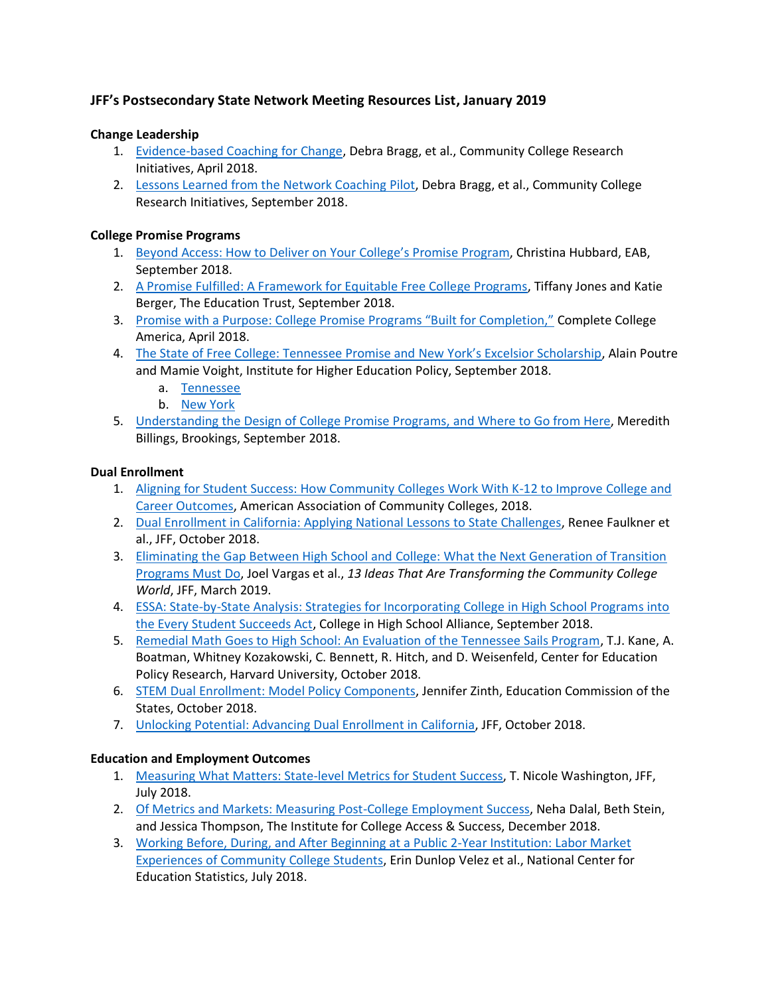# **JFF's Postsecondary State Network Meeting Resources List, January 2019**

## **Change Leadership**

- 1. [Evidence-based Coaching for Change,](https://s3-us-west-2.amazonaws.com/uw-s3-cdn/wp-content/uploads/sites/158/2018/08/23173409/cfc-Coaching-BRIEF_CCRI.pdf) Debra Bragg, et al., Community College Research Initiatives, April 2018.
- 2. [Lessons Learned from the Network Coaching Pilot,](https://s3-us-west-2.amazonaws.com/uw-s3-cdn/wp-content/uploads/sites/158/2018/07/12003329/SSCN_PilotLessonsLearned_CCRI.pdf) Debra Bragg, et al., Community College Research Initiatives, September 2018.

#### **College Promise Programs**

- 1. [Beyond Access: How to Deliver on Your C](https://www.eab.com/blogs/the-community-college-blog/2018/09/deliver-on-your-promise-program)ollege's Promise Program, Christina Hubbard, EAB, September 2018.
- 2. [A Promise Fulfilled: A Framework for Equitable Free College Programs,](https://edtrust.org/resource/a-promise-fulfilled/) Tiffany Jones and Katie Berger, The Education Trust, September 2018.
- 3. [Promise with a Purpose: College Promise Programs "Built for Completion,"](https://completecollege.org/wp-content/uploads/2018/04/CCA015_PromisewithaPurpose_4.30.2018.pdf) Complete College America, April 2018.
- 4. [The State of Free College: Tennessee Promise and New York's Excelsior Scholarship](http://www.ihep.org/research/publications/state-free-college-tennessee-promise-and-new-yorks-excelsior-scholarship), Alain Poutre and Mamie Voight, Institute for Higher Education Policy, September 2018.
	- a. [Tennessee](http://www.ihep.org/sites/default/files/uploads/docs/pubs/ihep_state_free_college_tennessee_promise.pdf)
	- b. [New York](http://www.ihep.org/sites/default/files/uploads/docs/pubs/ihep_state_free_college_ny_excelsior_scholarship.pdf)
- 5. [Understanding the Design of College Promise Programs, and Where to Go from Here,](https://www.brookings.edu/blog/brown-center-chalkboard/2018/09/18/understanding-the-design-of-college-promise-programs-and-where-to-go-from-here/) Meredith Billings, Brookings, September 2018.

## **Dual Enrollment**

- 1. [Aligning for Student Success: How Community Colleges Work With K-12 to Improve College and](https://www.acct.org/files/Publications/2018/Aligning%20for%20Student%20Success%20Paper%2011-2018.pdf)  [Career Outcomes,](https://www.acct.org/files/Publications/2018/Aligning%20for%20Student%20Success%20Paper%2011-2018.pdf) American Association of Community Colleges, 2018.
- 2. [Dual Enrollment in California: Applying National Lessons to State Challenges,](https://jfforg-prod-prime.s3.amazonaws.com/media/documents/Dual_Enrollment_Working_Paper_101018.pdf) Renee Faulkner et al., JFF, October 2018.
- 3. [Eliminating the Gap Between High School and College: What the Next Generation of Transition](https://jfforg-prod-prime.s3.amazonaws.com/media/documents/ELIMINATING_THE_GAP_BETWEEN_HIGH_SCHOOL_AND_COLLEGE_110918.pdf)  [Programs Must Do,](https://jfforg-prod-prime.s3.amazonaws.com/media/documents/ELIMINATING_THE_GAP_BETWEEN_HIGH_SCHOOL_AND_COLLEGE_110918.pdf) Joel Vargas et al., *13 Ideas That Are Transforming the Community College World*, JFF, March 2019.
- 4. **ESSA: State-by-State Analysis: Strategies for Incorporating College in High School Programs into** [the Every Student Succeeds Act,](https://static1.squarespace.com/static/589d0f90ff7c507ac483988e/t/5b9fce410e2e729e48794945/1537199681976/CHSA+ESSA+State-by-State+Analysis.pdf) College in High School Alliance, September 2018.
- 5. [Remedial Math Goes to High School: An Evaluation of the Tennessee Sails Program,](https://cepr.harvard.edu/publications/remedial-math-goes-high-school-evaluation-tennessee-sails-program) T.J. Kane, A. Boatman, Whitney Kozakowski, C. Bennett, R. Hitch, and D. Weisenfeld, Center for Education Policy Research, Harvard University, October 2018.
- 6. [STEM Dual Enrollment: Model Policy Components,](https://www.ecs.org/wp-content/uploads/STEM-Dual-Enrollment-Model-Policy-Components.pdf) Jennifer Zinth, Education Commission of the States, October 2018.
- 7. [Unlocking Potential: Advancing Dual Enrollment in California,](https://jfforg-prod-prime.s3.amazonaws.com/media/documents/Dual-Enrollment-JFF-CLP-101118.pdf) JFF, October 2018.

#### **Education and Employment Outcomes**

- 1. [Measuring What Matters: State-level Metrics for Student Success,](https://jfforg-prod-prime.s3.amazonaws.com/media/documents/Measuring_What_Matters.pdf) T. Nicole Washington, JFF, July 2018.
- 2. [Of Metrics and Markets: Measuring Post-College Employment Success,](https://ticas.org/sites/default/files/pub_files/of_metrics_markets.pdf) Neha Dalal, Beth Stein, and Jessica Thompson, The Institute for College Access & Success, December 2018.
- 3. [Working Before, During, and After Beginning at a Public 2-Year Institution: Labor Market](https://nces.ed.gov/pubs2018/2018428.pdf)  [Experiences of Community College Students,](https://nces.ed.gov/pubs2018/2018428.pdf) Erin Dunlop Velez et al., National Center for Education Statistics, July 2018.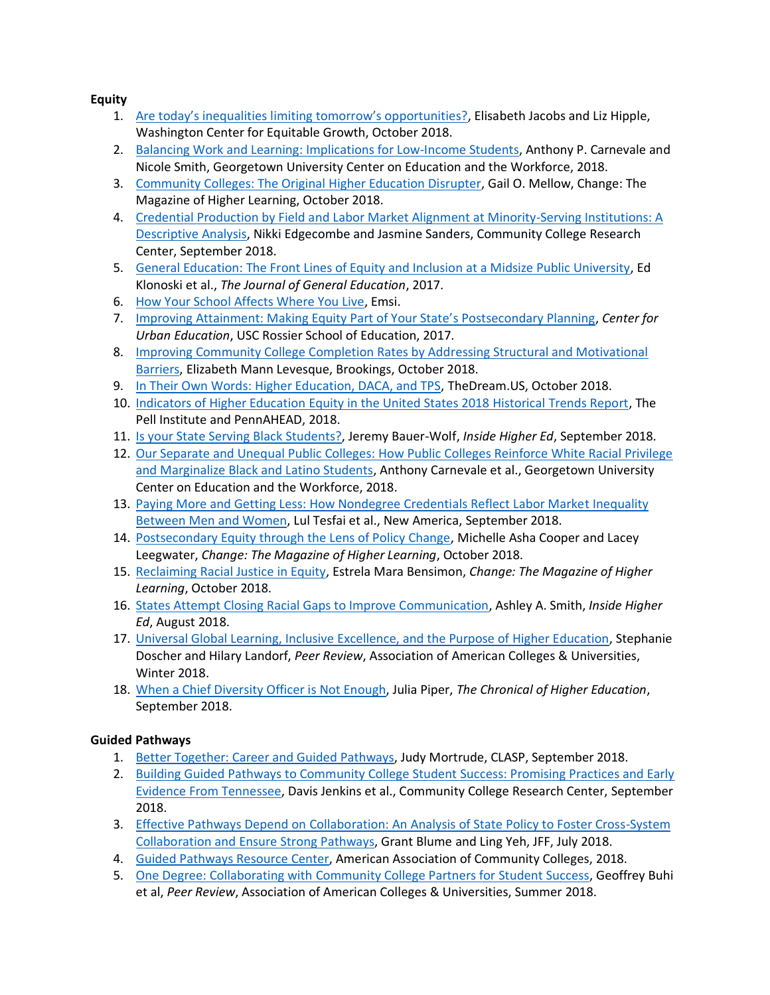**Equity**

- 1. [Are today's inequalities limiting tomorrow's opportunities?](https://equitablegrowth.org/research-paper/are-todays-inequalities-limiting-tomorrows-opportunities/), Elisabeth Jacobs and Liz Hipple, Washington Center for Equitable Growth, October 2018.
- 2. [Balancing Work and Learning: Implications for Low-Income Students,](https://1gyhoq479ufd3yna29x7ubjn-wpengine.netdna-ssl.com/wp-content/uploads/Low-Income-Working-Learners-FR.pdf) Anthony P. Carnevale and Nicole Smith, Georgetown University Center on Education and the Workforce, 2018.
- 3. [Community Colleges: The Original Higher Education Disrupter,](https://www.tandfonline.com/doi/full/10.1080/00091383.2018.1509632?src=recsys) Gail O. Mellow, Change: The Magazine of Higher Learning, October 2018.
- 4. Credential Production by Field and Labor Market Alignment at Minority-Serving Institutions: A [Descriptive Analysis,](https://ccrc.tc.columbia.edu/publications/credential-production-minority-serving-institutions.html) Nikki Edgecombe and Jasmine Sanders, Community College Research Center, September 2018.
- 5. [General Education: The Front Lines of Equity and Inclusion at a Midsize Public University,](https://muse.jhu.edu/article/703256) Ed Klonoski et al., *The Journal of General Education*, 2017.
- 6. [How Your School Affects Where You Live,](https://www.economicmodeling.com/how-your-school-affects-where-you-live/) Emsi.
- 7. [Improving Attainment: Making Equity Part of Your State's Postsecondary Planning](https://cue.usc.edu/files/2017/02/Making-Equity-Part-of-Your-State%E2%80%99s-Postsecondary-Planning_Final_Web.pdf), *Center for Urban Education*, USC Rossier School of Education, 2017.
- 8. [Improving Community College Completion Rates by Addressing Structural and Motivational](https://www.brookings.edu/research/community-college-completion-rates-structural-and-motivational-barriers/)  [Barriers,](https://www.brookings.edu/research/community-college-completion-rates-structural-and-motivational-barriers/) Elizabeth Mann Levesque, Brookings, October 2018.
- 9. [In Their Own Words: Higher Education, DACA, and TPS,](https://www.thedream.us/wp-content/uploads/2018/10/TheDream.US-In-Their-Own-Words-Report-Oct-2018-1-2.pdf) TheDream.US, October 2018.
- 10. [Indicators of Higher Education Equity in the United States 2018 Historical Trends Report,](https://files.eric.ed.gov/fulltext/ED583543.pdf) The Pell Institute and PennAHEAD, 2018.
- 11. [Is your State Serving Black Students?,](https://www.insidehighered.com/news/2018/09/25/new-report-grades-states-public-universities-black-student-enrollment-representation) Jeremy Bauer-Wolf, *Inside Higher Ed*, September 2018.
- 12. [Our Separate and Unequal Public Colleges: How Public Colleges Reinforce White Racial Privilege](https://1gyhoq479ufd3yna29x7ubjn-wpengine.netdna-ssl.com/wp-content/uploads/SAUStates_FR.pdf)  [and Marginalize Black and Latino Students,](https://1gyhoq479ufd3yna29x7ubjn-wpengine.netdna-ssl.com/wp-content/uploads/SAUStates_FR.pdf) Anthony Carnevale et al., Georgetown University Center on Education and the Workforce, 2018.
- 13. [Paying More and Getting Less: How Nondegree Credentials Reflect Labor Market Inequality](https://www.newamerica.org/education-policy/reports/paying-more-and-getting-less/)  [Between Men and Women,](https://www.newamerica.org/education-policy/reports/paying-more-and-getting-less/) Lul Tesfai et al., New America, September 2018.
- 14. [Postsecondary Equity through the Lens of Policy Change,](https://www.tandfonline.com/doi/full/10.1080/00091383.2018.1509630) Michelle Asha Cooper and Lacey Leegwater, *Change: The Magazine of Higher Learning*, October 2018.
- 15. [Reclaiming Racial Justice in Equity,](https://www.tandfonline.com/doi/full/10.1080/00091383.2018.1509623?src=recsys) Estrela Mara Bensimon, *Change: The Magazine of Higher Learning*, October 2018.
- 16. [States Attempt Closing Racial Gaps to Improve Communication,](https://www.insidehighered.com/news/2018/08/21/states-showing-some-progress-closing-racial-equity-gaps) Ashley A. Smith, *Inside Higher Ed*, August 2018.
- 17. [Universal Global Learning, Inclusive Excellence, and the Purpose of Higher Education,](https://www.aacu.org/peerreview/2018/Winter/FIU) Stephanie Doscher and Hilary Landorf, *Peer Review*, Association of American Colleges & Universities, Winter 2018.
- 18. [When a Chief Diversity Officer is Not Enough,](https://www.chronicle.com/article/When-a-Chief-Diversity-Officer/244528) Julia Piper, *The Chronical of Higher Education*, September 2018.

# **Guided Pathways**

- 1. [Better Together: Career and Guided Pathways,](https://www.clasp.org/sites/default/files/publications/2018/09/2018careerandguidedpathways.pdf) Judy Mortrude, CLASP, September 2018.
- 2. [Building Guided Pathways to Community College Student Success: Promising Practices and Early](https://ccrc.tc.columbia.edu/media/k2/attachments/building-guided-pathways-community-college-student-success.pdf)  [Evidence From Tennessee,](https://ccrc.tc.columbia.edu/media/k2/attachments/building-guided-pathways-community-college-student-success.pdf) Davis Jenkins et al., Community College Research Center, September 2018.
- 3. [Effective Pathways Depend on Collaboration: An Analysis of State Policy to Foster Cross-System](https://jfforg-prod-prime.s3.amazonaws.com/media/documents/Effective_Pathways_Depend_on_Collaboration.pdf)  [Collaboration and Ensure Strong Pathways,](https://jfforg-prod-prime.s3.amazonaws.com/media/documents/Effective_Pathways_Depend_on_Collaboration.pdf) Grant Blume and Ling Yeh, JFF, July 2018.
- 4. [Guided Pathways Resource Center,](https://www.pathwaysresources.org/) American Association of Community Colleges, 2018.
- 5. [One Degree: Collaborating with Community College Partners for Student Success,](https://www.aacu.org/peerreview/2018/Summer/CSU) Geoffrey Buhi et al, *Peer Review*, Association of American Colleges & Universities, Summer 2018.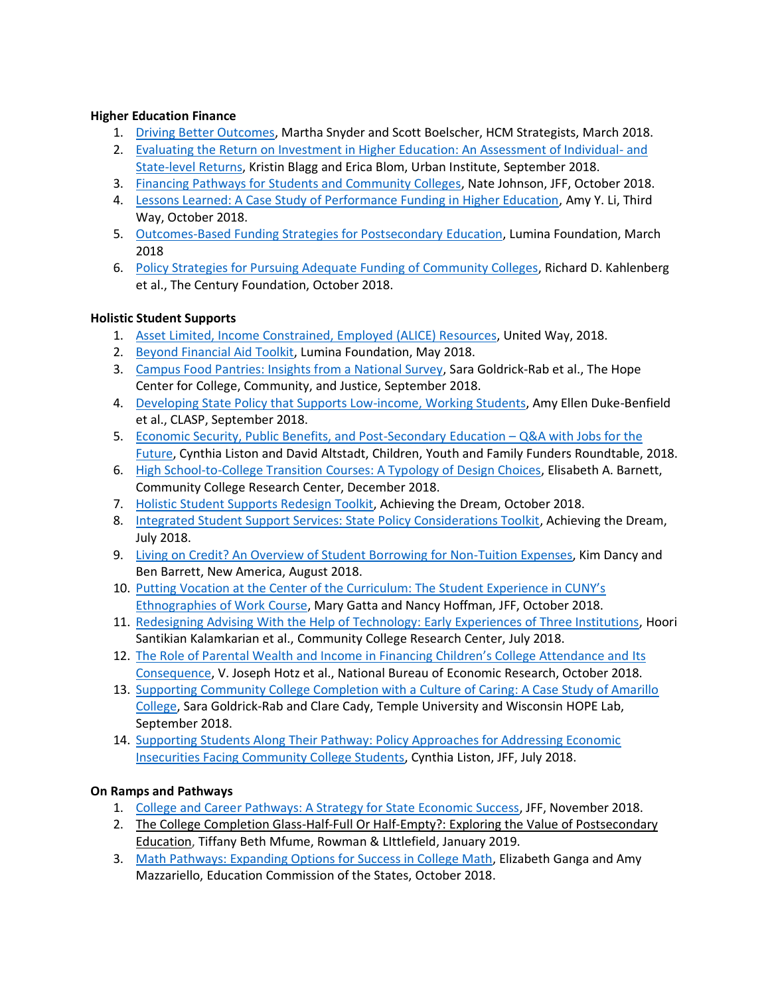## **Higher Education Finance**

- 1. [Driving Better Outcomes,](http://hcmstrategists.com/wp-content/uploads/2018/03/HCM_DBO_Document_v3.pdf) Martha Snyder and Scott Boelscher, HCM Strategists, March 2018.
- 2. [Evaluating the Return on Investment in Higher Education: An Assessment of Individual-](https://www.urban.org/sites/default/files/publication/99078/evaluating_the_return_on_investment_in_higher_education_0.pdf) and [State-level Returns,](https://www.urban.org/sites/default/files/publication/99078/evaluating_the_return_on_investment_in_higher_education_0.pdf) Kristin Blagg and Erica Blom, Urban Institute, September 2018.
- 3. [Financing Pathways for Students and Community Colleges,](https://jfforg-prod-prime.s3.amazonaws.com/media/documents/Finance_.pdf) Nate Johnson, JFF, October 2018.
- 4. [Lessons Learned: A Case Study of Performance Funding in Higher Education,](http://thirdway.imgix.net/pdfs/lessons-learned-a-case-study-of-performance-funding-in-higher-education.pdf) Amy Y. Li, Third Way, October 2018.
- 5. [Outcomes-Based Funding Strategies for Postsecondary Education,](https://www.luminafoundation.org/files/resources/03-obf-strategies.pdf) Lumina Foundation, March 2018
- 6. [Policy Strategies for Pursuing Adequate Funding of Community Colleges,](https://tcf.org/content/report/policy-strategies-pursuing-adequate-funding-community-colleges/) Richard D. Kahlenberg et al., The Century Foundation, October 2018.

## **Holistic Student Supports**

- 1. [Asset Limited, Income Constrained, Employed \(ALICE\) Resources,](https://www.unitedwayalice.org/home) United Way, 2018.
- 2. [Beyond Financial Aid Toolkit,](https://www.luminafoundation.org/beyond-financial-aid) Lumina Foundation, May 2018.
- 3. [Campus Food Pantries: Insights from a National Survey,](https://hope4college.com/wp-content/uploads/2018/10/2018-CUFBA-Report-web3.pdf) Sara Goldrick-Rab et al., The Hope Center for College, Community, and Justice, September 2018.
- 4. [Developing State Policy that Supports Low-income, Working Students,](https://www.clasp.org/sites/default/files/publications/2018/09/2018developingstatepolicythatsupportsstudents.pdf) Amy Ellen Duke-Benfield et al., CLASP, September 2018.
- 5. [Economic Security, Public Benefits, and Post-Secondary Education](https://fundersroundtable.org/2018/09/14/economic-security-public-benefits-and-post-secondary-education-qa-with-jobs-for-the-future/)  Q&A with Jobs for the [Future,](https://fundersroundtable.org/2018/09/14/economic-security-public-benefits-and-post-secondary-education-qa-with-jobs-for-the-future/) Cynthia Liston and David Altstadt, Children, Youth and Family Funders Roundtable, 2018.
- 6. [High School-to-College Transition Courses: A Typology of Design Choices,](https://ccrc.tc.columbia.edu/media/k2/attachments/high-school-college-transition-typology.pdf) Elisabeth A. Barnett, Community College Research Center, December 2018.
- 7. [Holistic Student Supports Redesign Toolkit,](https://www.achievingthedream.org/sites/default/files/resources/atd_hss_redesign_toolkit_2018.pdf) Achieving the Dream, October 2018.
- 8. [Integrated Student Support Services: State Policy Considerations Toolkit,](https://www.achievingthedream.org/resource/17438/integrated-student-support-services-state-policy-considerations) Achieving the Dream, July 2018.
- 9. [Living on Credit? An Overview of Student Borrowing for Non-Tuition Expenses,](https://www.newamerica.org/education-policy/reports/living-credit/) Kim Dancy and Ben Barrett, New America, August 2018.
- 10. [Putting Vocation at the Center of the Curriculum: The Student Experience in CUNY's](https://jfforg-prod-prime.s3.amazonaws.com/media/documents/Vocation_at_Center_of_Curriculum_FINAL.pdf)  [Ethnographies of Work Course,](https://jfforg-prod-prime.s3.amazonaws.com/media/documents/Vocation_at_Center_of_Curriculum_FINAL.pdf) Mary Gatta and Nancy Hoffman, JFF, October 2018.
- 11. [Redesigning Advising With the Help of Technology: Early Experiences of Three Institutions,](https://ccrc.tc.columbia.edu/media/k2/attachments/redesigning-advising-technology-three-institutions.pdf) Hoori Santikian Kalamkarian et al., Community College Research Center, July 2018.
- 12. [The Role of Parental Wealth and Income in Financing Children's College Attendance and](https://www.nber.org/papers/w25144.pdf) Its [Consequence,](https://www.nber.org/papers/w25144.pdf) V. Joseph Hotz et al., National Bureau of Economic Research, October 2018.
- 13. Supporting Community College Completion with a Culture of Caring: A Case Study of Amarillo College, Sara Goldrick-Rab and Clare Cady, Temple University and Wisconsin HOPE Lab, September 2018.
- 14. [Supporting Students Along Their Pathway: Policy Approaches for Addressing Economic](https://jfforg-prod-prime.s3.amazonaws.com/media/documents/Stability_0709184.pdf)  [Insecurities Facing Community College Students,](https://jfforg-prod-prime.s3.amazonaws.com/media/documents/Stability_0709184.pdf) Cynthia Liston, JFF, July 2018.

## **On Ramps and Pathways**

- 1. [College and Career Pathways: A Strategy for State Economic Success,](https://jfforg-prod-prime.s3.amazonaws.com/media/documents/College_and_Career_Pathways-_A_Strategy_for_State_Economic_Success.pdf) JFF, November 2018.
- 2. The College Completion Glass-Half-Full Or Half-Empty?: Exploring the Value of Postsecondary Education, Tiffany Beth Mfume, Rowman & LIttlefield, January 2019.
- 3. [Math Pathways: Expanding Options for Success in College Math,](https://ccrc.tc.columbia.edu/media/k2/attachments/math-pathways-expanding-options-success.pdf) Elizabeth Ganga and Amy Mazzariello, Education Commission of the States, October 2018.